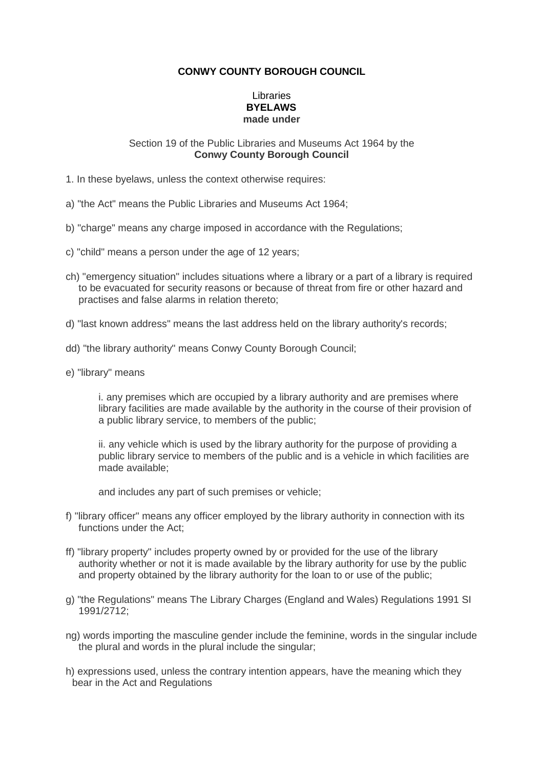# **CONWY COUNTY BOROUGH COUNCIL**

# Libraries **BYELAWS made under**

#### Section 19 of the Public Libraries and Museums Act 1964 by the **Conwy County Borough Council**

- 1. In these byelaws, unless the context otherwise requires:
- a) "the Act" means the Public Libraries and Museums Act 1964;
- b) "charge" means any charge imposed in accordance with the Regulations;
- c) "child" means a person under the age of 12 years;
- ch) "emergency situation" includes situations where a library or a part of a library is required to be evacuated for security reasons or because of threat from fire or other hazard and practises and false alarms in relation thereto;
- d) "last known address" means the last address held on the library authority's records;
- dd) "the library authority" means Conwy County Borough Council;
- e) "library" means

i. any premises which are occupied by a library authority and are premises where library facilities are made available by the authority in the course of their provision of a public library service, to members of the public;

ii. any vehicle which is used by the library authority for the purpose of providing a public library service to members of the public and is a vehicle in which facilities are made available;

and includes any part of such premises or vehicle;

- f) "library officer" means any officer employed by the library authority in connection with its functions under the Act;
- ff) "library property" includes property owned by or provided for the use of the library authority whether or not it is made available by the library authority for use by the public and property obtained by the library authority for the loan to or use of the public;
- g) "the Regulations" means The Library Charges (England and Wales) Regulations 1991 SI 1991/2712;
- ng) words importing the masculine gender include the feminine, words in the singular include the plural and words in the plural include the singular;
- h) expressions used, unless the contrary intention appears, have the meaning which they bear in the Act and Regulations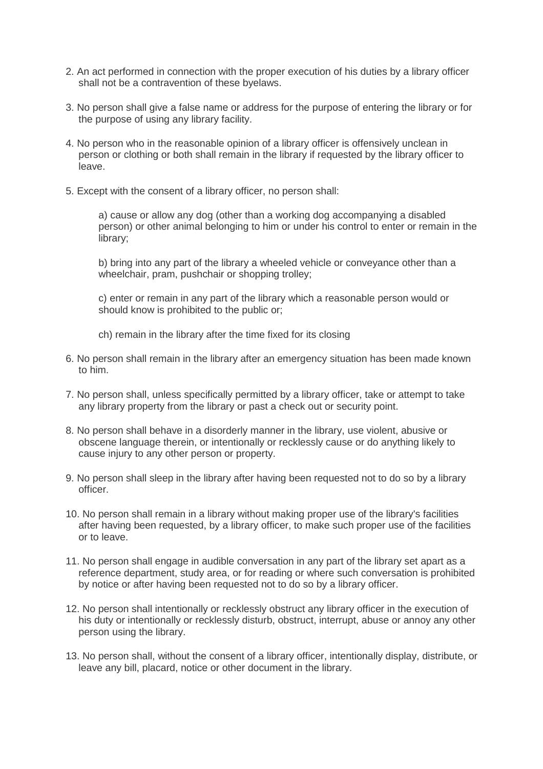- 2. An act performed in connection with the proper execution of his duties by a library officer shall not be a contravention of these byelaws.
- 3. No person shall give a false name or address for the purpose of entering the library or for the purpose of using any library facility.
- 4. No person who in the reasonable opinion of a library officer is offensively unclean in person or clothing or both shall remain in the library if requested by the library officer to leave.
- 5. Except with the consent of a library officer, no person shall:

a) cause or allow any dog (other than a working dog accompanying a disabled person) or other animal belonging to him or under his control to enter or remain in the library;

b) bring into any part of the library a wheeled vehicle or conveyance other than a wheelchair, pram, pushchair or shopping trolley;

c) enter or remain in any part of the library which a reasonable person would or should know is prohibited to the public or;

- ch) remain in the library after the time fixed for its closing
- 6. No person shall remain in the library after an emergency situation has been made known to him.
- 7. No person shall, unless specifically permitted by a library officer, take or attempt to take any library property from the library or past a check out or security point.
- 8. No person shall behave in a disorderly manner in the library, use violent, abusive or obscene language therein, or intentionally or recklessly cause or do anything likely to cause injury to any other person or property.
- 9. No person shall sleep in the library after having been requested not to do so by a library officer.
- 10. No person shall remain in a library without making proper use of the library's facilities after having been requested, by a library officer, to make such proper use of the facilities or to leave.
- 11. No person shall engage in audible conversation in any part of the library set apart as a reference department, study area, or for reading or where such conversation is prohibited by notice or after having been requested not to do so by a library officer.
- 12. No person shall intentionally or recklessly obstruct any library officer in the execution of his duty or intentionally or recklessly disturb, obstruct, interrupt, abuse or annoy any other person using the library.
- 13. No person shall, without the consent of a library officer, intentionally display, distribute, or leave any bill, placard, notice or other document in the library.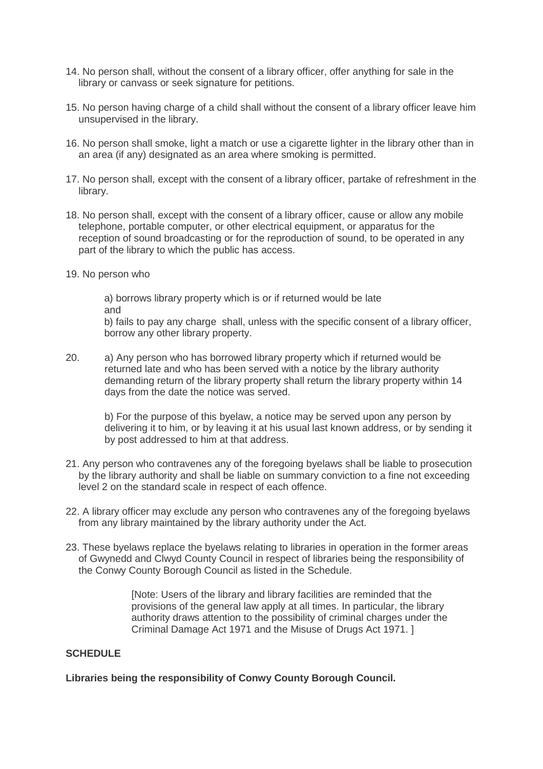- 14. No person shall, without the consent of a library officer, offer anything for sale in the library or canvass or seek signature for petitions.
- 15. No person having charge of a child shall without the consent of a library officer leave him unsupervised in the library.
- 16. No person shall smoke, light a match or use a cigarette lighter in the library other than in an area (if any) designated as an area where smoking is permitted.
- 17. No person shall, except with the consent of a library officer, partake of refreshment in the library.
- 18. No person shall, except with the consent of a library officer, cause or allow any mobile telephone, portable computer, or other electrical equipment, or apparatus for the reception of sound broadcasting or for the reproduction of sound, to be operated in any part of the library to which the public has access.
- 19. No person who

 a) borrows library property which is or if returned would be late and

 b) fails to pay any charge shall, unless with the specific consent of a library officer, borrow any other library property.

20. a) Any person who has borrowed library property which if returned would be returned late and who has been served with a notice by the library authority demanding return of the library property shall return the library property within 14 days from the date the notice was served.

 b) For the purpose of this byelaw, a notice may be served upon any person by delivering it to him, or by leaving it at his usual last known address, or by sending it by post addressed to him at that address.

- 21. Any person who contravenes any of the foregoing byelaws shall be liable to prosecution by the library authority and shall be liable on summary conviction to a fine not exceeding level 2 on the standard scale in respect of each offence.
- 22. A library officer may exclude any person who contravenes any of the foregoing byelaws from any library maintained by the library authority under the Act.
- 23. These byelaws replace the byelaws relating to libraries in operation in the former areas of Gwynedd and Clwyd County Council in respect of libraries being the responsibility of the Conwy County Borough Council as listed in the Schedule.

 [Note: Users of the library and library facilities are reminded that the provisions of the general law apply at all times. In particular, the library authority draws attention to the possibility of criminal charges under the Criminal Damage Act 1971 and the Misuse of Drugs Act 1971. ]

# **SCHEDULE**

**Libraries being the responsibility of Conwy County Borough Council.**